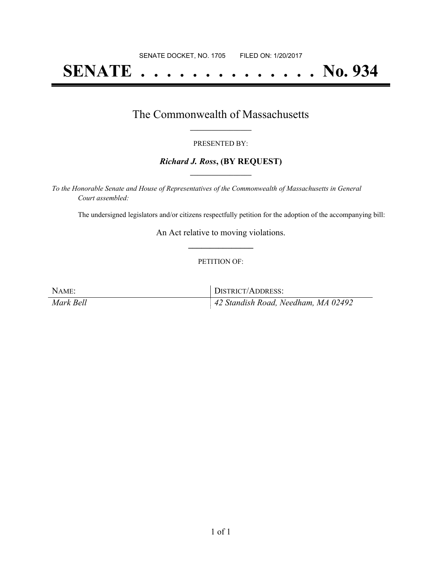# **SENATE . . . . . . . . . . . . . . No. 934**

### The Commonwealth of Massachusetts **\_\_\_\_\_\_\_\_\_\_\_\_\_\_\_\_\_**

#### PRESENTED BY:

#### *Richard J. Ross***, (BY REQUEST) \_\_\_\_\_\_\_\_\_\_\_\_\_\_\_\_\_**

*To the Honorable Senate and House of Representatives of the Commonwealth of Massachusetts in General Court assembled:*

The undersigned legislators and/or citizens respectfully petition for the adoption of the accompanying bill:

An Act relative to moving violations. **\_\_\_\_\_\_\_\_\_\_\_\_\_\_\_**

#### PETITION OF:

| NAME:     | DISTRICT/ADDRESS:                               |
|-----------|-------------------------------------------------|
| Mark Bell | $\parallel$ 42 Standish Road, Needham, MA 02492 |